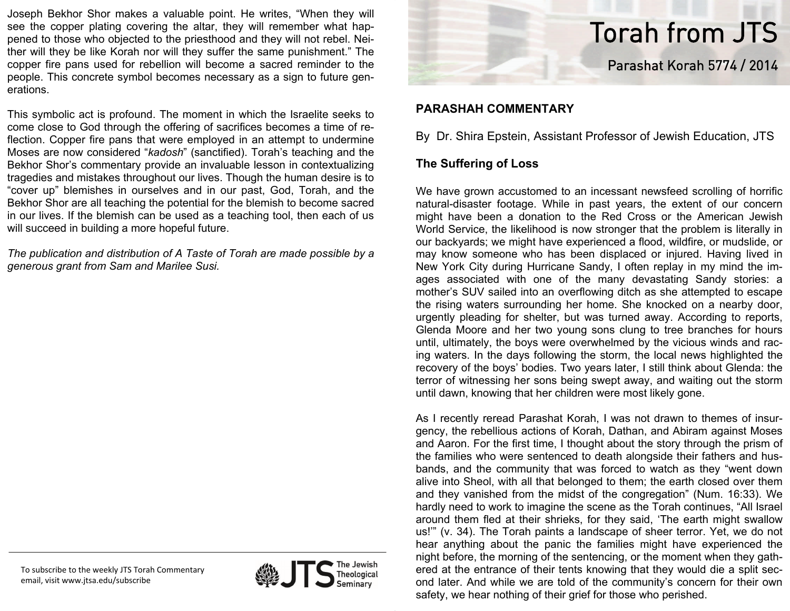Joseph Bekhor Shor makes a valuable point. He writes, "When they will see the copper plating covering the altar, they will remember what happened to those who objected to the priesthood and they will not rebel. Neither will they be like Korah nor will they suffer the same punishment." The copper fire pans used for rebellion will become a sacred reminder to the people. This concrete symbol becomes necessary as a sign to future generations.

This symbolic act is profound. The moment in which the Israelite seeks to come close to God through the offering of sacrifices becomes a time of reflection. Copper fire pans that were employed in an attempt to undermine Moses are now considered "*kadosh*" (sanctified). Torah's teaching and the Bekhor Shor's commentary provide an invaluable lesson in contextualizing tragedies and mistakes throughout our lives. Though the human desire is to "cover up" blemishes in ourselves and in our past, God, Torah, and the Bekhor Shor are all teaching the potential for the blemish to become sacred in our lives. If the blemish can be used as a teaching tool, then each of us will succeed in building a more hopeful future.

*The publication and distribution of A Taste of Torah are made possible by a generous grant from Sam and Marilee Susi.* 





# Torah from JTS Parashat Korah 5774 / 2014

## **PARASHAH COMMENTARY**

By Dr. Shira Epstein, Assistant Professor of Jewish Education, JTS

## **The Suffering of Loss**

We have grown accustomed to an incessant newsfeed scrolling of horrific natural-disaster footage. While in past years, the extent of our concern might have been a donation to the Red Cross or the American Jewish World Service, the likelihood is now stronger that the problem is literally in our backyards; we might have experienced a flood, wildfire, or mudslide, or may know someone who has been displaced or injured. Having lived in New York City during Hurricane Sandy, I often replay in my mind the images associated with one of the many devastating Sandy stories: a mother's SUV sailed into an overflowing ditch as she attempted to escape the rising waters surrounding her home. She knocked on a nearby door, urgently pleading for shelter, but was turned away. According to reports, Glenda Moore and her two young sons clung to tree branches for hours until, ultimately, the boys were overwhelmed by the vicious winds and racing waters. In the days following the storm, the local news highlighted the recovery of the boys' bodies. Two years later, I still think about Glenda: the terror of witnessing her sons being swept away, and waiting out the storm until dawn, knowing that her children were most likely gone.

As I recently reread Parashat Korah, I was not drawn to themes of insurgency, the rebellious actions of Korah, Dathan, and Abiram against Moses and Aaron. For the first time, I thought about the story through the prism of the families who were sentenced to death alongside their fathers and husbands, and the community that was forced to watch as they "went down alive into Sheol, with all that belonged to them; the earth closed over them and they vanished from the midst of the congregation" (Num. 16:33). We hardly need to work to imagine the scene as the Torah continues, "All Israel around them fled at their shrieks, for they said, 'The earth might swallow us!'" (v. 34). The Torah paints a landscape of sheer terror. Yet, we do not hear anything about the panic the families might have experienced the night before, the morning of the sentencing, or the moment when they gathered at the entrance of their tents knowing that they would die a split second later. And while we are told of the community's concern for their own safety, we hear nothing of their grief for those who perished.